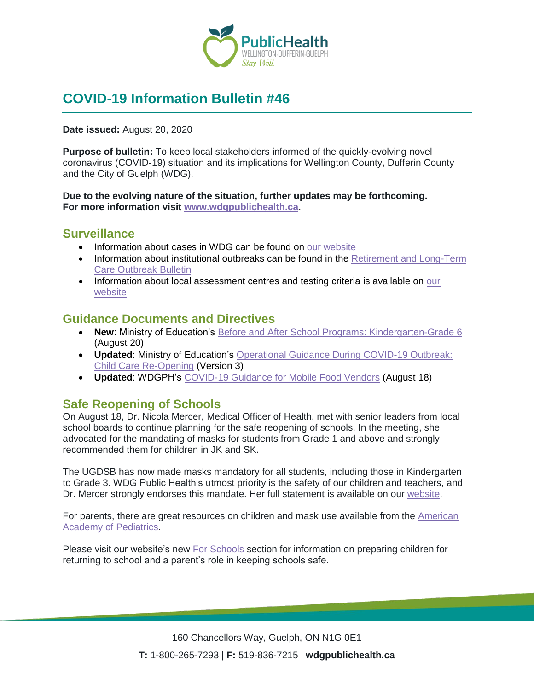

# **COVID-19 Information Bulletin #46**

**Date issued:** August 20, 2020

**Purpose of bulletin:** To keep local stakeholders informed of the quickly-evolving novel coronavirus (COVID-19) situation and its implications for Wellington County, Dufferin County and the City of Guelph (WDG).

**Due to the evolving nature of the situation, further updates may be forthcoming. For more information visit [www.wdgpublichealth.ca](http://www.wdgpublichealth.ca/)**.

### **Surveillance**

- Information about cases in WDG can be found on [our website](https://wdgpublichealth.ca/your-health/covid-19-information-public/status-cases-wdg)
- Information about institutional outbreaks can be found in the Retirement and Long-Term [Care Outbreak Bulletin](https://wdgpublichealth.ca/node/1542)
- Information about local assessment centres and testing criteria is available on our [website](https://www.wdgpublichealth.ca/your-health/covid-19-information-public/assessment-centres-wdg)

### **Guidance Documents and Directives**

- **New: Ministry of Education's [Before and After School Programs: Kindergarten-Grade 6](http://www.edu.gov.on.ca/childcare/before-and-after-school-programs-guide.pdf)** (August 20)
- **Updated**: Ministry of Education's [Operational Guidance During COVID-19 Outbreak:](http://www.edu.gov.on.ca/childcare/child-care-guide-child-care.pdf)  [Child Care Re-Opening](http://www.edu.gov.on.ca/childcare/child-care-guide-child-care.pdf) (Version 3)
- **Updated**: WDGPH's [COVID-19 Guidance](https://wdgpublichealth.ca/sites/default/files/wdgph_covid-19_guidance_mobile_food_vendors.pdf) for Mobile Food Vendors (August 18)

### **Safe Reopening of Schools**

On August 18, Dr. Nicola Mercer, Medical Officer of Health, met with senior leaders from local school boards to continue planning for the safe reopening of schools. In the meeting, she advocated for the mandating of masks for students from Grade 1 and above and strongly recommended them for children in JK and SK.

The UGDSB has now made masks mandatory for all students, including those in Kindergarten to Grade 3. WDG Public Health's utmost priority is the safety of our children and teachers, and Dr. Mercer strongly endorses this mandate. Her full statement is available on our [website.](https://wdgpublichealth.ca/news/safe-reopening-schools-statement-dr-mercer-august-19-2020)

For parents, there are great resources on children and mask use available from the [American](https://www.healthychildren.org/English/health-issues/conditions/COVID-19/Pages/Cloth-Face-Coverings-for-Children-During-COVID-19.aspx)  [Academy of Pediatrics.](https://www.healthychildren.org/English/health-issues/conditions/COVID-19/Pages/Cloth-Face-Coverings-for-Children-During-COVID-19.aspx)

Please visit our website's new [For Schools](https://wdgpublichealth.ca/your-health/covid-19-information-schools-parents-and-teachers/schools-and-post-secondary) section for information on preparing children for returning to school and a parent's role in keeping schools safe.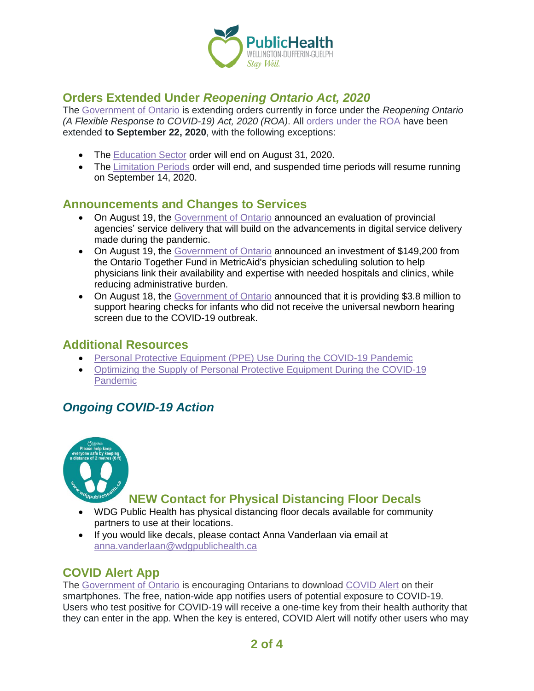

# **Orders Extended Under** *Reopening Ontario Act, 2020*

The [Government of Ontario](https://news.ontario.ca/mcscs/en/2020/08/ontario-extends-orders-under-the-reopening-ontario-act-2020.html) is extending orders currently in force under the *Reopening Ontario (A Flexible Response to COVID-19) Act, 2020 (ROA)*. All [orders under the ROA](https://www.ontario.ca/page/emergency-information?_ga=2.104407625.898080432.1597929484-1123331746.1579028832) have been extended **to September 22, 2020**, with the following exceptions:

- The [Education Sector](https://www.ontario.ca/laws/regulation/200205) order will end on August 31, 2020.
- The [Limitation Periods](https://www.ontario.ca/laws/regulation/200073) order will end, and suspended time periods will resume running on September 14, 2020.

### **Announcements and Changes to Services**

- On August 19, the [Government of Ontario](https://news.ontario.ca/tbs/en/2020/08/ontario-taking-steps-to-improve-service-delivery-at-provincial-agencies.html) announced an evaluation of provincial agencies' service delivery that will build on the advancements in digital service delivery made during the pandemic.
- On August 19, the [Government of Ontario](https://news.ontario.ca/medg/en/2020/08/ontario-invests-in-made-in-ontario-physician-scheduling-technology-in-the-fight-against-covid-19.html) announced an investment of \$149,200 from the Ontario Together Fund in MetricAid's physician scheduling solution to help physicians link their availability and expertise with needed hospitals and clinics, while reducing administrative burden.
- On August 18, the [Government of Ontario](https://news.ontario.ca/mcys/en/2020/08/ontario-resumes-infant-hearing-checks.html) announced that it is providing \$3.8 million to support hearing checks for infants who did not receive the universal newborn hearing screen due to the COVID-19 outbreak.

#### **Additional Resources**

- [Personal Protective Equipment \(PPE\) Use During the COVID-19 Pandemic](https://ohwestcovid19.ca/wp-content/uploads/2020/08/20200811-Personal-Protective-Equipment-Use-During-the-COVID-19-Pandemic.pdf)
- [Optimizing the Supply of Personal Protective Equipment During the COVID-19](https://ohwestcovid19.ca/wp-content/uploads/2020/08/20200811-Optimizing-the-Supply-of-Personal-Protective-Equipment-During-the-COVID-....pdf)  [Pandemic](https://ohwestcovid19.ca/wp-content/uploads/2020/08/20200811-Optimizing-the-Supply-of-Personal-Protective-Equipment-During-the-COVID-....pdf)

# *Ongoing COVID-19 Action*



# **NEW Contact for Physical Distancing Floor Decals**

- WDG Public Health has physical distancing floor decals available for community partners to use at their locations.
- If you would like decals, please contact Anna Vanderlaan via email at [anna.vanderlaan@wdgpublichealth.ca](https://wdgpublichealth.sharepoint.com/sites/IMS-NovelCoronavirus/Shared%20Documents/General/Communications/COVID-19/Stakeholders/COVID-19%20Information%20Bulletin/Bulletin%2018/meghan.wiles@wdgpublichealth.ca)

# **COVID Alert App**

The [Government of Ontario](https://news.ontario.ca/opo/en/2020/07/covid-alert-available-for-download-beginning-today.html) is encouraging Ontarians to download [COVID Alert](https://covid-19.ontario.ca/covidalert?_ga=2.68068817.1702415536.1596548534-1123331746.1579028832) on their smartphones. The free, nation-wide app notifies users of potential exposure to COVID-19. Users who test positive for COVID-19 will receive a one-time key from their health authority that they can enter in the app. When the key is entered, COVID Alert will notify other users who may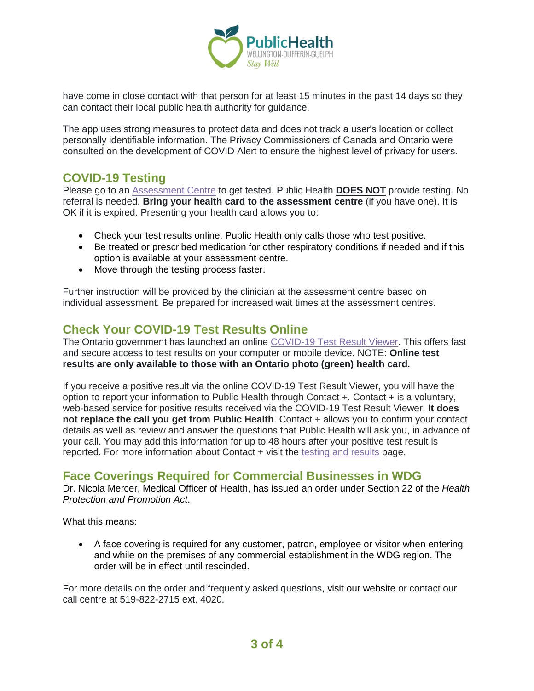

have come in close contact with that person for at least 15 minutes in the past 14 days so they can contact their local public health authority for guidance.

The app uses strong measures to protect data and does not track a user's location or collect personally identifiable information. The Privacy Commissioners of Canada and Ontario were consulted on the development of COVID Alert to ensure the highest level of privacy for users.

# **COVID-19 Testing**

Please go to an [Assessment Centre](https://wdgpublichealth.ca/your-health/covid-19-information-public/assessment-centres-wdg) to get tested. Public Health **DOES NOT** provide testing. No referral is needed. **Bring your health card to the assessment centre** (if you have one). It is OK if it is expired. Presenting your health card allows you to:

- Check your test results online. Public Health only calls those who test positive.
- Be treated or prescribed medication for other respiratory conditions if needed and if this option is available at your assessment centre.
- Move through the testing process faster.

Further instruction will be provided by the clinician at the assessment centre based on individual assessment. Be prepared for increased wait times at the assessment centres.

# **Check Your COVID-19 Test Results Online**

The Ontario government has launched an online [COVID-19 Test Result Viewer.](https://covid19results.ehealthontario.ca:4443/agree) This offers fast and secure access to test results on your computer or mobile device. NOTE: **Online test results are only available to those with an Ontario photo (green) health card.**

If you receive a positive result via the online COVID-19 Test Result Viewer, you will have the option to report your information to Public Health through Contact +. Contact + is a voluntary, web-based service for positive results received via the COVID-19 Test Result Viewer. **It does not replace the call you get from Public Health**. Contact + allows you to confirm your contact details as well as review and answer the questions that Public Health will ask you, in advance of your call. You may add this information for up to 48 hours after your positive test result is reported. For more information about Contact + visit the [testing and results](https://www.wdgpublichealth.ca/your-health/covid-19-information-public/testing-and-results) page.

### **Face Coverings Required for Commercial Businesses in WDG**

Dr. Nicola Mercer, Medical Officer of Health, has issued an order under Section 22 of the *Health Protection and Promotion Act*.

What this means:

• A face covering is required for any customer, patron, employee or visitor when entering and while on the premises of any commercial establishment in the WDG region. The order will be in effect until rescinded.

For more details on the order and frequently asked questions, [visit our website](https://www.wdgpublichealth.ca/your-health/covid-19-information-public/face-coverings-class-order-and-faqs) or contact our call centre at 519-822-2715 ext. 4020.